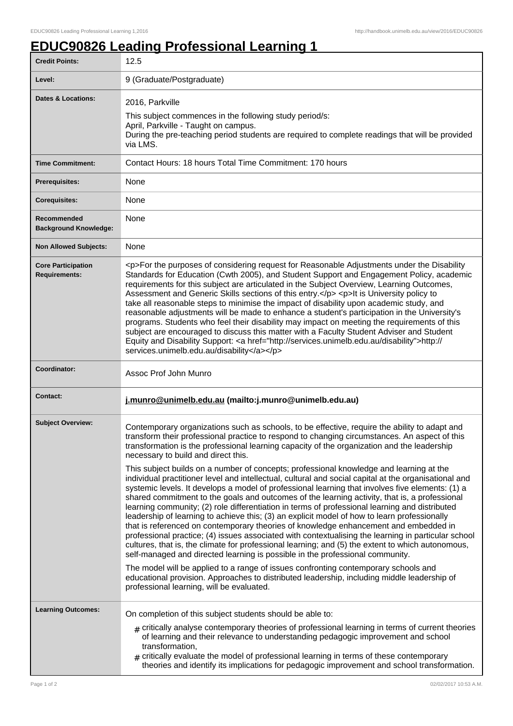## **EDUC90826 Leading Professional Learning 1**

| <b>Credit Points:</b>                             | 12.5                                                                                                                                                                                                                                                                                                                                                                                                                                                                                                                                                                                                                                                                                                                                                                                                                                                                                                                                                                                                                                                                                                                                                                                                                                                                                                                                                                                                                                                                                                                                                                    |
|---------------------------------------------------|-------------------------------------------------------------------------------------------------------------------------------------------------------------------------------------------------------------------------------------------------------------------------------------------------------------------------------------------------------------------------------------------------------------------------------------------------------------------------------------------------------------------------------------------------------------------------------------------------------------------------------------------------------------------------------------------------------------------------------------------------------------------------------------------------------------------------------------------------------------------------------------------------------------------------------------------------------------------------------------------------------------------------------------------------------------------------------------------------------------------------------------------------------------------------------------------------------------------------------------------------------------------------------------------------------------------------------------------------------------------------------------------------------------------------------------------------------------------------------------------------------------------------------------------------------------------------|
| Level:                                            | 9 (Graduate/Postgraduate)                                                                                                                                                                                                                                                                                                                                                                                                                                                                                                                                                                                                                                                                                                                                                                                                                                                                                                                                                                                                                                                                                                                                                                                                                                                                                                                                                                                                                                                                                                                                               |
| <b>Dates &amp; Locations:</b>                     | 2016, Parkville<br>This subject commences in the following study period/s:<br>April, Parkville - Taught on campus.<br>During the pre-teaching period students are required to complete readings that will be provided<br>via LMS.                                                                                                                                                                                                                                                                                                                                                                                                                                                                                                                                                                                                                                                                                                                                                                                                                                                                                                                                                                                                                                                                                                                                                                                                                                                                                                                                       |
| <b>Time Commitment:</b>                           | Contact Hours: 18 hours Total Time Commitment: 170 hours                                                                                                                                                                                                                                                                                                                                                                                                                                                                                                                                                                                                                                                                                                                                                                                                                                                                                                                                                                                                                                                                                                                                                                                                                                                                                                                                                                                                                                                                                                                |
| <b>Prerequisites:</b>                             | None                                                                                                                                                                                                                                                                                                                                                                                                                                                                                                                                                                                                                                                                                                                                                                                                                                                                                                                                                                                                                                                                                                                                                                                                                                                                                                                                                                                                                                                                                                                                                                    |
| <b>Corequisites:</b>                              | None                                                                                                                                                                                                                                                                                                                                                                                                                                                                                                                                                                                                                                                                                                                                                                                                                                                                                                                                                                                                                                                                                                                                                                                                                                                                                                                                                                                                                                                                                                                                                                    |
| Recommended<br><b>Background Knowledge:</b>       | None                                                                                                                                                                                                                                                                                                                                                                                                                                                                                                                                                                                                                                                                                                                                                                                                                                                                                                                                                                                                                                                                                                                                                                                                                                                                                                                                                                                                                                                                                                                                                                    |
| <b>Non Allowed Subjects:</b>                      | None                                                                                                                                                                                                                                                                                                                                                                                                                                                                                                                                                                                                                                                                                                                                                                                                                                                                                                                                                                                                                                                                                                                                                                                                                                                                                                                                                                                                                                                                                                                                                                    |
| <b>Core Participation</b><br><b>Requirements:</b> | <p>For the purposes of considering request for Reasonable Adjustments under the Disability<br/>Standards for Education (Cwth 2005), and Student Support and Engagement Policy, academic<br/>requirements for this subject are articulated in the Subject Overview, Learning Outcomes,<br/>Assessment and Generic Skills sections of this entry.</p> <p>lt is University policy to<br/>take all reasonable steps to minimise the impact of disability upon academic study, and<br/>reasonable adjustments will be made to enhance a student's participation in the University's<br/>programs. Students who feel their disability may impact on meeting the requirements of this<br/>subject are encouraged to discuss this matter with a Faculty Student Adviser and Student<br/>Equity and Disability Support: &lt; a href="http://services.unimelb.edu.au/disability"&gt;http://<br/>services.unimelb.edu.au/disability</p>                                                                                                                                                                                                                                                                                                                                                                                                                                                                                                                                                                                                                                            |
| Coordinator:                                      | Assoc Prof John Munro                                                                                                                                                                                                                                                                                                                                                                                                                                                                                                                                                                                                                                                                                                                                                                                                                                                                                                                                                                                                                                                                                                                                                                                                                                                                                                                                                                                                                                                                                                                                                   |
|                                                   |                                                                                                                                                                                                                                                                                                                                                                                                                                                                                                                                                                                                                                                                                                                                                                                                                                                                                                                                                                                                                                                                                                                                                                                                                                                                                                                                                                                                                                                                                                                                                                         |
| <b>Contact:</b>                                   | j.munro@unimelb.edu.au (mailto: j.munro@unimelb.edu.au)                                                                                                                                                                                                                                                                                                                                                                                                                                                                                                                                                                                                                                                                                                                                                                                                                                                                                                                                                                                                                                                                                                                                                                                                                                                                                                                                                                                                                                                                                                                 |
| <b>Subject Overview:</b>                          | Contemporary organizations such as schools, to be effective, require the ability to adapt and<br>transform their professional practice to respond to changing circumstances. An aspect of this<br>transformation is the professional learning capacity of the organization and the leadership<br>necessary to build and direct this.<br>This subject builds on a number of concepts; professional knowledge and learning at the<br>individual practitioner level and intellectual, cultural and social capital at the organisational and<br>systemic levels. It develops a model of professional learning that involves five elements: (1) a<br>shared commitment to the goals and outcomes of the learning activity, that is, a professional<br>learning community; (2) role differentiation in terms of professional learning and distributed<br>leadership of learning to achieve this; (3) an explicit model of how to learn professionally<br>that is referenced on contemporary theories of knowledge enhancement and embedded in<br>professional practice; (4) issues associated with contextualising the learning in particular school<br>cultures, that is, the climate for professional learning; and (5) the extent to which autonomous,<br>self-managed and directed learning is possible in the professional community.<br>The model will be applied to a range of issues confronting contemporary schools and<br>educational provision. Approaches to distributed leadership, including middle leadership of<br>professional learning, will be evaluated. |